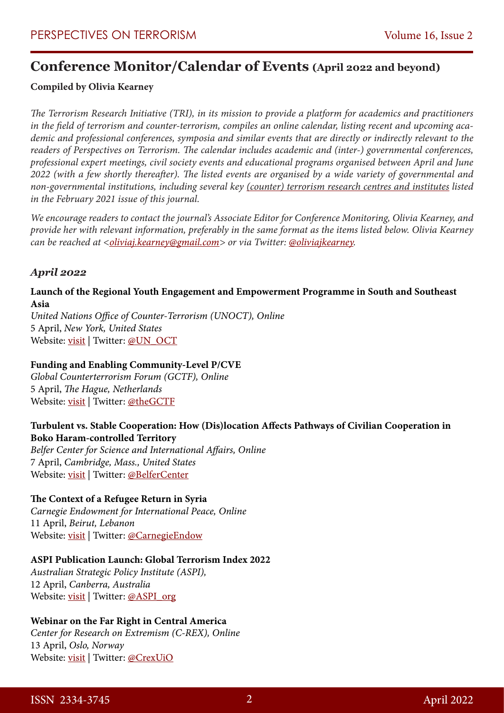# **Conference Monitor/Calendar of Events (April 2022 and beyond)**

# **Compiled by Olivia Kearney**

*The Terrorism Research Initiative (TRI), in its mission to provide a platform for academics and practitioners in the field of terrorism and counter-terrorism, compiles an online calendar, listing recent and upcoming academic and professional conferences, symposia and similar events that are directly or indirectly relevant to the readers of Perspectives on Terrorism. The calendar includes academic and (inter-) governmental conferences, professional expert meetings, civil society events and educational programs organised between April and June 2022 (with a few shortly thereafter). The listed events are organised by a wide variety of governmental and non-governmental institutions, including several key [\(counter\) terrorism research centres and institutes](https://www.universiteitleiden.nl/binaries/content/assets/customsites/perspectives-on-terrorism/2021/issue-1/bergema-and-kearney.pdf) listed in the February 2021 issue of this journal.*

*We encourage readers to contact the journal's Associate Editor for Conference Monitoring, Olivia Kearney, and provide her with relevant information, preferably in the same format as the items listed below. Olivia Kearney can be reached at [<oliviaj.kearney@gmail.com](mailto:oliviaj.kearney@gmail.com)> or via Twitter: [@oliviajkearney.](https://twitter.com/OliviaJKearney)*

### *April 2022*

#### **Launch of the Regional Youth Engagement and Empowerment Programme in South and Southeast Asia**

*United Nations Office of Counter-Terrorism (UNOCT), Online* 5 April, *New York, United States* Website: [visit](https://www.un.org/counterterrorism/events/launch-regional-youth-engagement-and-empowerment-programme-south-and-southeast-asia) | Twitter: [@UN\\_OCT](https://twitter.com/UN_OCT)

#### **Funding and Enabling Community-Level P/CVE**

*Global Counterterrorism Forum (GCTF), Online* 5 April, *The Hague, Netherlands* Website: [visit](https://www.thegctf.org/What-we-do/Initiative-Activities/Detail/ArtMID/842/ArticleID/195/Funding-and-Enabling-Community-Level-PCVE) | Twitter: [@theGCTF](https://twitter.com/theGCTF)

#### **Turbulent vs. Stable Cooperation: How (Dis)location Affects Pathways of Civilian Cooperation in Boko Haram-controlled Territory**

*Belfer Center for Science and International Affairs, Online* 7 April, *Cambridge, Mass., United States* Website: [visit](https://www.belfercenter.org/event/turbulent-vs-stable-cooperation-how-dislocation-affects-pathways-civilian-cooperation-boko) | Twitter: [@BelferCenter](https://twitter.com/BelferCenter)

#### **The Context of a Refugee Return in Syria**

*Carnegie Endowment for International Peace, Online* 11 April, *Beirut, Lebanon* Website: [visit](https://carnegie-mec.org/2022/04/11/context-of-refugee-return-in-syria-event-7846) | Twitter: [@CarnegieEndow](https://twitter.com/CarnegieEndow)

#### **ASPI Publication Launch: Global Terrorism Index 2022**

*Australian Strategic Policy Institute (ASPI),*  12 April, *Canberra, Australia* Website: [visit](https://www.aspi.org.au/event/aspi-publication-launch-global-terrorism-index-2022) | Twitter: [@ASPI\\_org](https://twitter.com/ASPI_org)

#### **Webinar on the Far Right in Central America**

*Center for Research on Extremism (C-REX), Online* 13 April, *Oslo, Norway* Website: [visit](https://www.sv.uio.no/c-rex/english/news-and-events/events/2021/global-perspectives-on-the-far-right/the-far-right-in-central-america.html) | Twitter: [@CrexUiO](https://twitter.com/CrexUiO)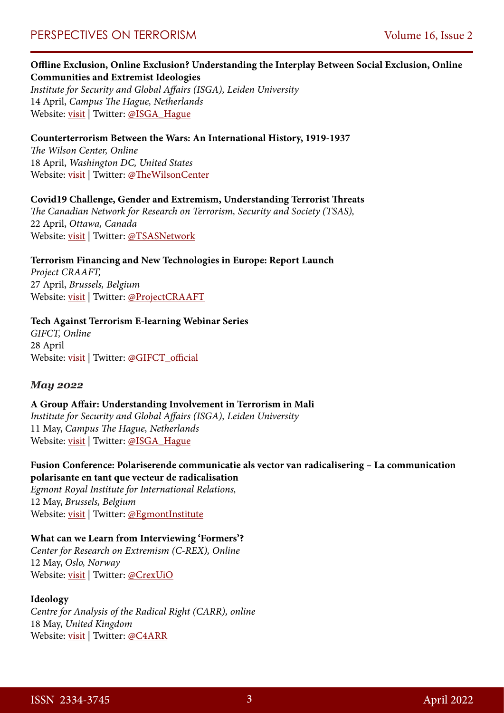#### **Offline Exclusion, Online Exclusion? Understanding the Interplay Between Social Exclusion, Online Communities and Extremist Ideologies**

*Institute for Security and Global Affairs (ISGA), Leiden University* 14 April, *Campus The Hague, Netherlands* Website: <u>visit</u> | Twitter: [@ISGA\\_Hague](https://twitter.com/ISGA_Hague)

#### **Counterterrorism Between the Wars: An International History, 1919-1937**

*The Wilson Center, Online* 18 April, *Washington DC, United States* Website: [visit](https://www.wilsoncenter.org/event/counterterrorism-between-wars-international-history-1919-1937) | Twitter: [@TheWilsonCenter](https://twitter.com/thewilsoncenter)

#### **Covid19 Challenge, Gender and Extremism, Understanding Terrorist Threats**

*The Canadian Network for Research on Terrorism, Security and Society (TSAS),* 22 April, *Ottawa, Canada* Website: [visit](https://www.tsas.ca/tsas-event/tsas-workshop-ottawa-friday-april-22-in-person/) | Twitter: [@TSASNetwork](https://twitter.com/TSASNetwork)

#### **Terrorism Financing and New Technologies in Europe: Report Launch**

*Project CRAAFT,*  27 April, *Brussels, Belgium* Website: <u>visit</u> | Twitter: [@ProjectCRAAFT](https://twitter.com/projectcraaft)

#### **Tech Against Terrorism E-learning Webinar Series**

*GIFCT, Online* 28 April Website: <u>visit</u> | Twitter: [@GIFCT\\_official](https://twitter.com/GIFCT_official)

#### *May 2022*

#### **A Group Affair: Understanding Involvement in Terrorism in Mali**

*Institute for Security and Global Affairs (ISGA), Leiden University* 11 May, *Campus The Hague, Netherlands* Website: [visit](https://www.universiteitleiden.nl/en/events/2022/05/a-group-affair-understanding-involvement-in-terrorism-in-mali) | Twitter: [@ISGA\\_Hague](https://twitter.com/ISGA_Hague)

#### **Fusion Conference: Polariserende communicatie als vector van radicalisering – La communication polarisante en tant que vecteur de radicalisation**

*Egmont Royal Institute for International Relations,*  12 May, *Brussels, Belgium* Website: [visit](https://www.egmontinstitute.be/events/fusion-conference/) | Twitter: [@EgmontInstitute](https://twitter.com/Egmontinstitute)

#### **What can we Learn from Interviewing 'Formers'?**

*Center for Research on Extremism (C-REX), Online* 12 May, *Oslo, Norway* Website: [visit](https://www.sv.uio.no/c-rex/english/news-and-events/events/2021/webinar-methods-ethics/may12-what-can-we-learn-from-interviewing-%E2%80%98formers.html) | Twitter: [@CrexUiO](https://twitter.com/CrexUiO)

#### **Ideology**

*Centre for Analysis of the Radical Right (CARR), online*  18 May, *United Kingdom* Website: [visit](https://www.radicalrightanalysis.com/category/upcoming/) | Twitter: [@C4ARR](https://twitter.com/C4ARR)